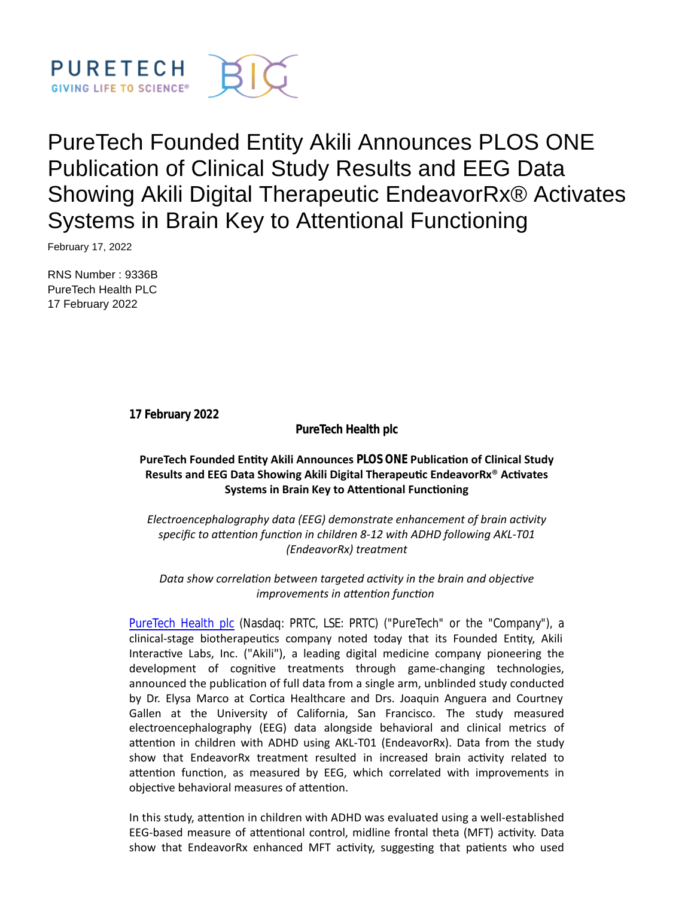

# PureTech Founded Entity Akili Announces PLOS ONE Publication of Clinical Study Results and EEG Data Showing Akili Digital Therapeutic EndeavorRx® Activates Systems in Brain Key to Attentional Functioning

February 17, 2022

RNS Number : 9336B PureTech Health PLC 17 February 2022

**17 February 2022**

**PureTech Health plc**

# **PureTech Founded Entity Akili Announces** *PLOS ONE* **Publication of Clinical Study Results and EEG Data Showing Akili Digital Therapeutic EndeavorRx<sup>®</sup> Activates Systems in Brain Key to Attentional Functioning**

*Electroencephalography data (EEG) demonstrate enhancement of brain activity* specific to attention function in children 8-12 with ADHD following AKL-T01 *(EndeavorRx) treatment*

# Data show correlation between targeted activity in the brain and objective *improvements in aƩenƟon funcƟon*

[PureTech Health plc](https://puretechhealth.com/) (Nasdaq: PRTC, LSE: PRTC) ("PureTech" or the "Company"), a clinical-stage biotherapeutics company noted today that its Founded Entity, Akili Interactive Labs, Inc. ("Akili"), a leading digital medicine company pioneering the development of cognitive treatments through game-changing technologies, announced the publication of full data from a single arm, unblinded study conducted by Dr. Elysa Marco at Cortica Healthcare and Drs. Joaquin Anguera and Courtney Gallen at the University of California, San Francisco. The study measured electroencephalography (EEG) data alongside behavioral and clinical metrics of attention in children with ADHD using AKL-T01 (EndeavorRx). Data from the study show that EndeavorRx treatment resulted in increased brain activity related to attention function, as measured by EEG, which correlated with improvements in objective behavioral measures of attention.

In this study, attention in children with ADHD was evaluated using a well-established EEG-based measure of attentional control, midline frontal theta (MFT) activity. Data show that EndeavorRx enhanced MFT activity, suggesting that patients who used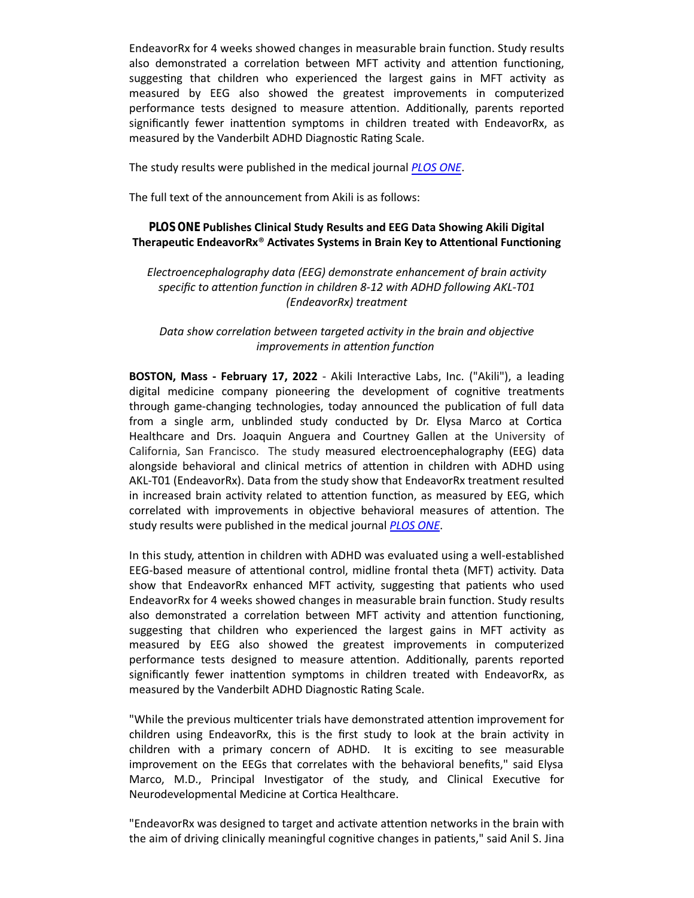EndeavorRx for 4 weeks showed changes in measurable brain function. Study results also demonstrated a correlation between MFT activity and attention functioning, suggesting that children who experienced the largest gains in MFT activity as measured by EEG also showed the greatest improvements in computerized performance tests designed to measure attention. Additionally, parents reported significantly fewer inattention symptoms in children treated with EndeavorRx, as measured by the Vanderbilt ADHD Diagnostic Rating Scale.

The study results were published in the medical journal *[PLOS ONE](https://journals.plos.org/plosone/article?id=10.1371/journal.pone.0261981#sec014)*.

The full text of the announcement from Akili is as follows:

# *PLOS ONE* **Publishes Clinical Study Results and EEG Data Showing Akili Digital** Therapeutic EndeavorRx<sup>®</sup> Activates Systems in Brain Key to Attentional Functioning

## *Electroencephalography data (EEG) demonstrate enhancement of brain activity* specific to attention function in children 8-12 with ADHD following AKL-T01 *(EndeavorRx) treatment*

## *Data show correlation between targeted activity in the brain and objective improvements in aƩenƟon funcƟon*

**BOSTON, Mass - February 17, 2022** - Akili Interactive Labs, Inc. ("Akili"), a leading digital medicine company pioneering the development of cognitive treatments through game-changing technologies, today announced the publication of full data from a single arm, unblinded study conducted by Dr. Elysa Marco at Cortica Healthcare and Drs. Joaquin Anguera and Courtney Gallen at the University of California, San Francisco. The study measured electroencephalography (EEG) data alongside behavioral and clinical metrics of attention in children with ADHD using AKL-T01 (EndeavorRx). Data from the study show that EndeavorRx treatment resulted in increased brain activity related to attention function, as measured by EEG, which correlated with improvements in objective behavioral measures of attention. The study results were published in the medical journal *[PLOS ONE](https://journals.plos.org/plosone/article?id=10.1371/journal.pone.0261981#sec014)*.

In this study, attention in children with ADHD was evaluated using a well-established EEG-based measure of attentional control, midline frontal theta (MFT) activity. Data show that EndeavorRx enhanced MFT activity, suggesting that patients who used EndeavorRx for 4 weeks showed changes in measurable brain function. Study results also demonstrated a correlation between MFT activity and attention functioning, suggesting that children who experienced the largest gains in MFT activity as measured by EEG also showed the greatest improvements in computerized performance tests designed to measure attention. Additionally, parents reported significantly fewer inattention symptoms in children treated with EndeavorRx, as measured by the Vanderbilt ADHD Diagnostic Rating Scale.

"While the previous multicenter trials have demonstrated attention improvement for children using EndeavorRx, this is the first study to look at the brain activity in children with a primary concern of ADHD. It is exciting to see measurable improvement on the EEGs that correlates with the behavioral benefits," said Elysa Marco, M.D., Principal Investigator of the study, and Clinical Executive for Neurodevelopmental Medicine at Cortica Healthcare.

"EndeavorRx was designed to target and activate attention networks in the brain with the aim of driving clinically meaningful cognitive changes in patients," said Anil S. Jina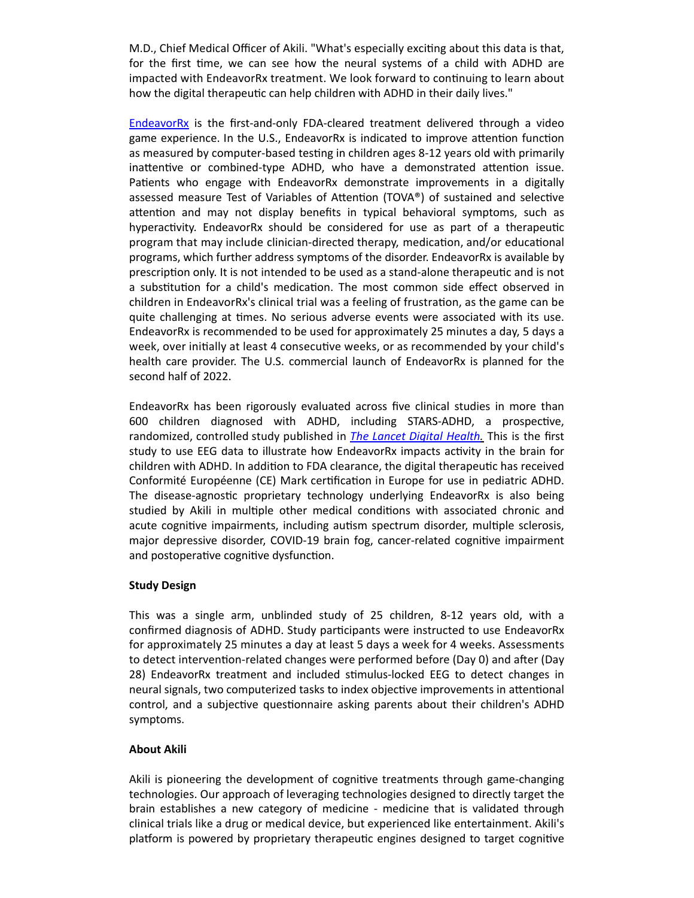M.D., Chief Medical Officer of Akili. "What's especially exciting about this data is that, for the first time, we can see how the neural systems of a child with ADHD are impacted with EndeavorRx treatment. We look forward to continuing to learn about how the digital therapeutic can help children with ADHD in their daily lives."

[EndeavorRx](https://www.endeavorrx.com/) is the first-and-only FDA-cleared treatment delivered through a video game experience. In the U.S., EndeavorRx is indicated to improve attention function as measured by computer-based testing in children ages 8-12 years old with primarily inattentive or combined-type ADHD, who have a demonstrated attention issue. Patients who engage with EndeavorRx demonstrate improvements in a digitally assessed measure Test of Variables of Attention (TOVA®) of sustained and selective attention and may not display benefits in typical behavioral symptoms, such as hyperactivity. EndeavorRx should be considered for use as part of a therapeutic program that may include clinician-directed therapy, medication, and/or educational programs, which further address symptoms of the disorder. EndeavorRx is available by prescription only. It is not intended to be used as a stand-alone therapeutic and is not a substitution for a child's medication. The most common side effect observed in children in EndeavorRx's clinical trial was a feeling of frustration, as the game can be quite challenging at times. No serious adverse events were associated with its use. EndeavorRx is recommended to be used for approximately 25 minutes a day, 5 days a week, over initially at least 4 consecutive weeks, or as recommended by your child's health care provider. The U.S. commercial launch of EndeavorRx is planned for the second half of 2022.

EndeavorRx has been rigorously evaluated across five clinical studies in more than 600 children diagnosed with ADHD, including STARS-ADHD, a prospective, randomized, controlled study published in *[The Lancet Digital Health.](https://www.thelancet.com/journals/landig/article/PIIS2589-7500(20)30017-0/fulltext)* This is the first study to use EEG data to illustrate how EndeavorRx impacts activity in the brain for children with ADHD. In addition to FDA clearance, the digital therapeutic has received Conformité Européenne (CE) Mark certification in Europe for use in pediatric ADHD. The disease-agnostic proprietary technology underlying EndeavorRx is also being studied by Akili in multiple other medical conditions with associated chronic and acute cognitive impairments, including autism spectrum disorder, multiple sclerosis, major depressive disorder, COVID-19 brain fog, cancer-related cognitive impairment and postoperative cognitive dysfunction.

# **Study Design**

This was a single arm, unblinded study of 25 children, 8-12 years old, with a confirmed diagnosis of ADHD. Study participants were instructed to use EndeavorRx for approximately 25 minutes a day at least 5 days a week for 4 weeks. Assessments to detect intervention-related changes were performed before (Day 0) and after (Day 28) EndeavorRx treatment and included stimulus-locked EEG to detect changes in neural signals, two computerized tasks to index objective improvements in attentional control, and a subjective questionnaire asking parents about their children's ADHD symptoms.

## **About Akili**

Akili is pioneering the development of cognitive treatments through game-changing technologies. Our approach of leveraging technologies designed to directly target the brain establishes a new category of medicine - medicine that is validated through clinical trials like a drug or medical device, but experienced like entertainment. Akili's platform is powered by proprietary therapeutic engines designed to target cognitive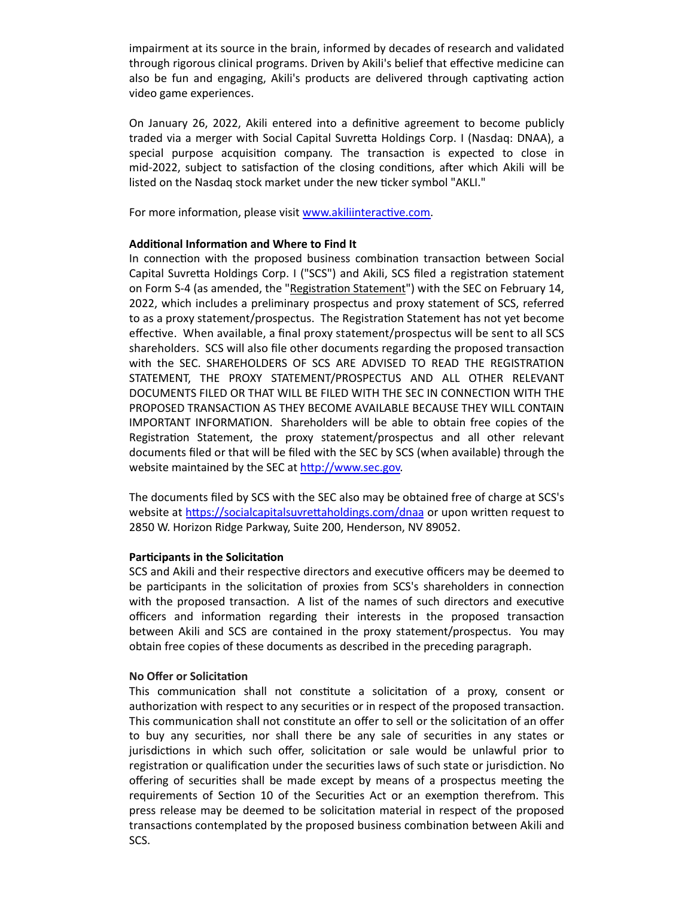impairment at its source in the brain, informed by decades of research and validated through rigorous clinical programs. Driven by Akili's belief that effective medicine can also be fun and engaging, Akili's products are delivered through captivating action video game experiences.

On January 26, 2022, Akili entered into a definitive agreement to become publicly traded via a merger with Social Capital Suvretta Holdings Corp. I (Nasdaq: DNAA), a special purpose acquisition company. The transaction is expected to close in mid-2022, subject to satisfaction of the closing conditions, after which Akili will be listed on the Nasdaq stock market under the new ticker symbol "AKLI."

For more information, please visit www.akiliinteractive.com.

## **Additional Information and Where to Find It**

In connection with the proposed business combination transaction between Social Capital Suvretta Holdings Corp. I ("SCS") and Akili, SCS filed a registration statement on Form S-4 (as amended, the "Registration Statement") with the SEC on February 14, 2022, which includes a preliminary prospectus and proxy statement of SCS, referred to as a proxy statement/prospectus. The Registration Statement has not yet become effective. When available, a final proxy statement/prospectus will be sent to all SCS shareholders. SCS will also file other documents regarding the proposed transaction with the SEC. SHAREHOLDERS OF SCS ARE ADVISED TO READ THE REGISTRATION STATEMENT, THE PROXY STATEMENT/PROSPECTUS AND ALL OTHER RELEVANT DOCUMENTS FILED OR THAT WILL BE FILED WITH THE SEC IN CONNECTION WITH THE PROPOSED TRANSACTION AS THEY BECOME AVAILABLE BECAUSE THEY WILL CONTAIN IMPORTANT INFORMATION. Shareholders will be able to obtain free copies of the Registration Statement, the proxy statement/prospectus and all other relevant documents filed or that will be filed with the SEC by SCS (when available) through the website maintained by the SEC at http://www.sec.gov.

The documents filed by SCS with the SEC also may be obtained free of charge at SCS's website at https://socialcapitalsuvrettaholdings.com/dnaa or upon written request to 2850 W. Horizon Ridge Parkway, Suite 200, Henderson, NV 89052.

## **Participants in the Solicitation**

SCS and Akili and their respective directors and executive officers may be deemed to be participants in the solicitation of proxies from SCS's shareholders in connection with the proposed transaction. A list of the names of such directors and executive officers and information regarding their interests in the proposed transaction between Akili and SCS are contained in the proxy statement/prospectus. You may obtain free copies of these documents as described in the preceding paragraph.

## **No Offer or SolicitaƟon**

This communication shall not constitute a solicitation of a proxy, consent or authorization with respect to any securities or in respect of the proposed transaction. This communication shall not constitute an offer to sell or the solicitation of an offer to buy any securities, nor shall there be any sale of securities in any states or jurisdictions in which such offer, solicitation or sale would be unlawful prior to registration or qualification under the securities laws of such state or jurisdiction. No offering of securities shall be made except by means of a prospectus meeting the requirements of Section 10 of the Securities Act or an exemption therefrom. This press release may be deemed to be solicitation material in respect of the proposed transactions contemplated by the proposed business combination between Akili and SCS.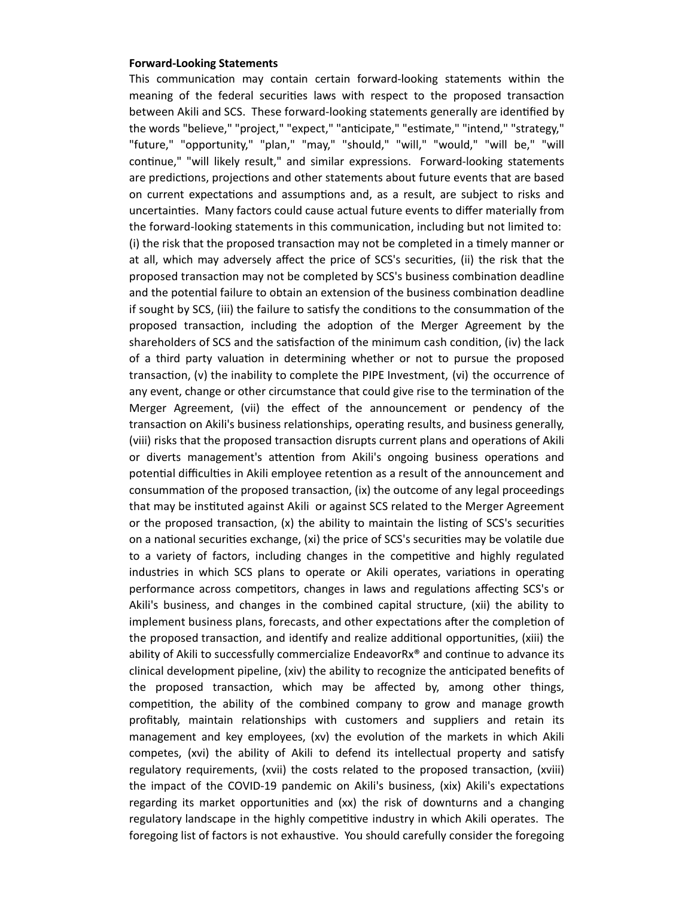#### **Forward-Looking Statements**

This communication may contain certain forward-looking statements within the meaning of the federal securities laws with respect to the proposed transaction between Akili and SCS. These forward-looking statements generally are identified by the words "believe," "project," "expect," "anticipate," "estimate," "intend," "strategy," "future," "opportunity," "plan," "may," "should," "will," "would," "will be," "will continue," "will likely result," and similar expressions. Forward-looking statements are predictions, projections and other statements about future events that are based on current expectations and assumptions and, as a result, are subject to risks and uncertainƟes. Many factors could cause actual future events to differ materially from the forward-looking statements in this communication, including but not limited to: (i) the risk that the proposed transaction may not be completed in a timely manner or at all, which may adversely affect the price of SCS's securities, (ii) the risk that the proposed transaction may not be completed by SCS's business combination deadline and the potential failure to obtain an extension of the business combination deadline if sought by SCS, (iii) the failure to satisfy the conditions to the consummation of the proposed transaction, including the adoption of the Merger Agreement by the shareholders of SCS and the satisfaction of the minimum cash condition, (iv) the lack of a third party valuation in determining whether or not to pursue the proposed transaction, (v) the inability to complete the PIPE Investment, (vi) the occurrence of any event, change or other circumstance that could give rise to the termination of the Merger Agreement, (vii) the effect of the announcement or pendency of the transaction on Akili's business relationships, operating results, and business generally, (viii) risks that the proposed transaction disrupts current plans and operations of Akili or diverts management's attention from Akili's ongoing business operations and potential difficulties in Akili employee retention as a result of the announcement and consummation of the proposed transaction, (ix) the outcome of any legal proceedings that may be instituted against Akili or against SCS related to the Merger Agreement or the proposed transaction,  $(x)$  the ability to maintain the listing of SCS's securities on a national securities exchange, (xi) the price of SCS's securities may be volatile due to a variety of factors, including changes in the competitive and highly regulated industries in which SCS plans to operate or Akili operates, variations in operating performance across competitors, changes in laws and regulations affecting SCS's or Akili's business, and changes in the combined capital structure, (xii) the ability to implement business plans, forecasts, and other expectations after the completion of the proposed transaction, and identify and realize additional opportunities, (xiii) the ability of Akili to successfully commercialize EndeavorR $x^*$  and continue to advance its clinical development pipeline, (xiv) the ability to recognize the anticipated benefits of the proposed transaction, which may be affected by, among other things, competition, the ability of the combined company to grow and manage growth profitably, maintain relationships with customers and suppliers and retain its management and key employees, (xv) the evolution of the markets in which Akili competes, (xvi) the ability of Akili to defend its intellectual property and satisfy regulatory requirements, (xvii) the costs related to the proposed transaction, (xviii) the impact of the COVID-19 pandemic on Akili's business, (xix) Akili's expectations regarding its market opportunities and (xx) the risk of downturns and a changing regulatory landscape in the highly competitive industry in which Akili operates. The foregoing list of factors is not exhaustive. You should carefully consider the foregoing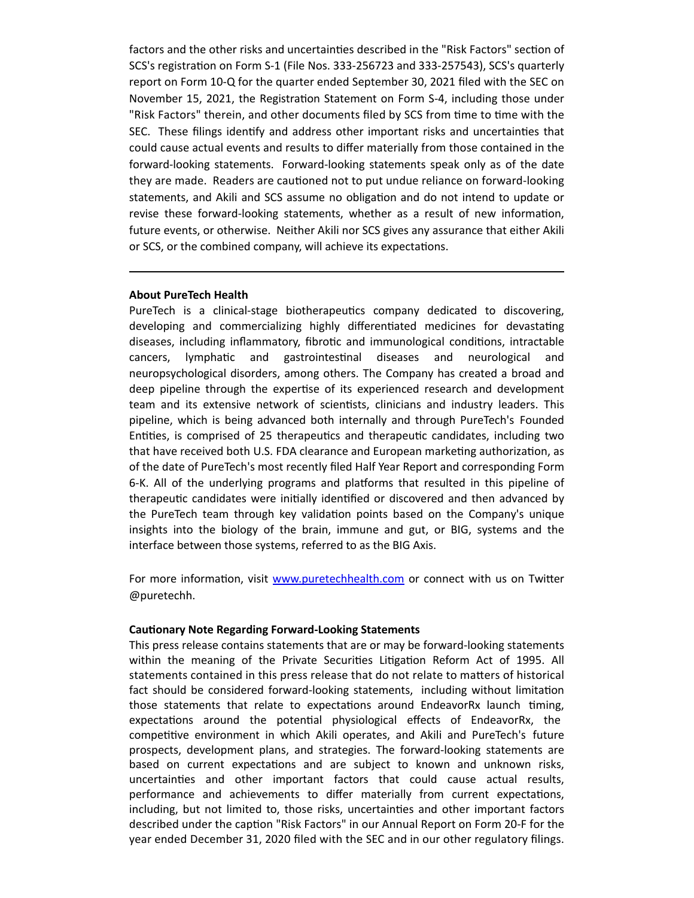factors and the other risks and uncertainties described in the "Risk Factors" section of SCS's registraƟon on Form S-1 (File Nos. 333-256723 and 333-257543), SCS's quarterly report on Form 10-Q for the quarter ended September 30, 2021 filed with the SEC on November 15, 2021, the Registration Statement on Form S-4, including those under "Risk Factors" therein, and other documents filed by SCS from time to time with the SEC. These filings identify and address other important risks and uncertainties that could cause actual events and results to differ materially from those contained in the forward-looking statements. Forward-looking statements speak only as of the date they are made. Readers are cautioned not to put undue reliance on forward-looking statements, and Akili and SCS assume no obligation and do not intend to update or revise these forward-looking statements, whether as a result of new information, future events, or otherwise. Neither Akili nor SCS gives any assurance that either Akili or SCS, or the combined company, will achieve its expectations.

#### **About PureTech Health**

PureTech is a clinical-stage biotherapeutics company dedicated to discovering, developing and commercializing highly differentiated medicines for devastating diseases, including inflammatory, fibrotic and immunological conditions, intractable cancers, lymphatic and gastrointestinal diseases and neurological and neuropsychological disorders, among others. The Company has created a broad and deep pipeline through the expertise of its experienced research and development team and its extensive network of scientists, clinicians and industry leaders. This pipeline, which is being advanced both internally and through PureTech's Founded Entities, is comprised of 25 therapeutics and therapeutic candidates, including two that have received both U.S. FDA clearance and European marketing authorization, as of the date of PureTech's most recently filed Half Year Report and corresponding Form 6-K. All of the underlying programs and platforms that resulted in this pipeline of therapeutic candidates were initially identified or discovered and then advanced by the PureTech team through key validaƟon points based on the Company's unique insights into the biology of the brain, immune and gut, or BIG, systems and the interface between those systems, referred to as the BIG Axis.

For more information, visit [www.puretechhealth.com](http://www.puretechhealth.com/) or connect with us on Twitter @puretechh.

#### **CauƟonary Note Regarding Forward-Looking Statements**

This press release contains statements that are or may be forward-looking statements within the meaning of the Private Securities Litigation Reform Act of 1995. All statements contained in this press release that do not relate to matters of historical fact should be considered forward-looking statements, including without limitation those statements that relate to expectations around EndeavorRx launch timing, expectations around the potential physiological effects of EndeavorRx, the competitive environment in which Akili operates, and Akili and PureTech's future prospects, development plans, and strategies. The forward-looking statements are based on current expectations and are subject to known and unknown risks, uncertainƟes and other important factors that could cause actual results, performance and achievements to differ materially from current expectations, including, but not limited to, those risks, uncertainties and other important factors described under the caption "Risk Factors" in our Annual Report on Form 20-F for the year ended December 31, 2020 filed with the SEC and in our other regulatory filings.